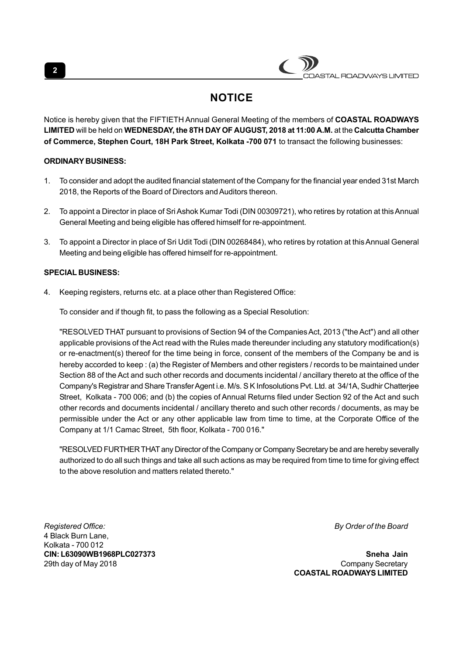# ASTAL ROADWAYS LIMITED

# **NOTICE**

Notice is hereby given that the FIFTIETH Annual General Meeting of the members of **COASTAL ROADWAYS LIMITED** will be held on **WEDNESDAY, the 8TH DAY OF AUGUST, 2018 at 11:00 A.M.** at the **Calcutta Chamber of Commerce, Stephen Court, 18H Park Street, Kolkata -700 071** to transact the following businesses:

## **ORDINARY BUSINESS:**

- 1. To consider and adopt the audited financial statement of the Company for the financial year ended 31st March 2018, the Reports of the Board of Directors and Auditors thereon.
- 2. To appoint a Director in place of Sri Ashok Kumar Todi (DIN 00309721), who retires by rotation at this Annual General Meeting and being eligible has offered himself for re-appointment.
- 3. To appoint a Director in place of Sri Udit Todi (DIN 00268484), who retires by rotation at this Annual General Meeting and being eligible has offered himself for re-appointment.

### **SPECIAL BUSINESS:**

4. Keeping registers, returns etc. at a place other than Registered Office:

To consider and if though fit, to pass the following as a Special Resolution:

"RESOLVED THAT pursuant to provisions of Section 94 of the Companies Act, 2013 ("the Act") and all other applicable provisions of the Act read with the Rules made thereunder including any statutory modification(s) or re-enactment(s) thereof for the time being in force, consent of the members of the Company be and is hereby accorded to keep : (a) the Register of Members and other registers / records to be maintained under Section 88 of the Act and such other records and documents incidental / ancillary thereto at the office of the Company's Registrar and Share Transfer Agent i.e. M/s. S K Infosolutions Pvt. Ltd. at 34/1A, Sudhir Chatterjee Street, Kolkata - 700 006; and (b) the copies of Annual Returns filed under Section 92 of the Act and such other records and documents incidental / ancillary thereto and such other records / documents, as may be permissible under the Act or any other applicable law from time to time, at the Corporate Office of the Company at 1/1 Camac Street, 5th floor, Kolkata - 700 016."

"RESOLVED FURTHER THAT any Director of the Company or Company Secretary be and are hereby severally authorized to do all such things and take all such actions as may be required from time to time for giving effect to the above resolution and matters related thereto."

*Registered Office: By Order of the Board* 4 Black Burn Lane, Kolkata - 700 012 **CIN: L63090WB1968PLC027373 Sneha Jain**

29th day of May 2018 **Company Secretary** 2018 **COASTAL ROADWAYS LIMITED**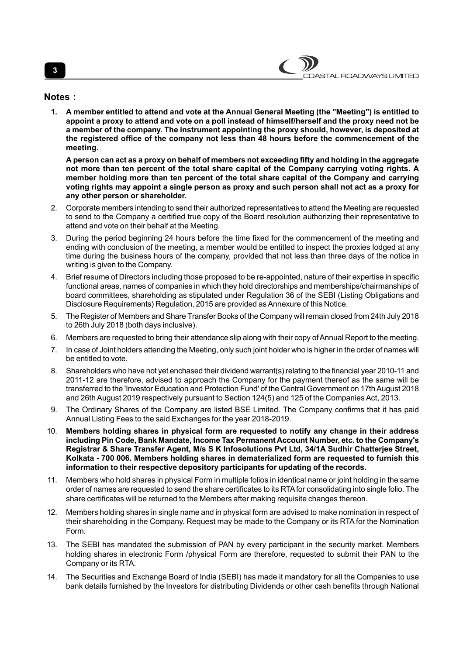#### **Notes :**

**1. A member entitled to attend and vote at the Annual General Meeting (the "Meeting") is entitled to appoint a proxy to attend and vote on a poll instead of himself/herself and the proxy need not be a member of the company. The instrument appointing the proxy should, however, is deposited at the registered office of the company not less than 48 hours before the commencement of the meeting.**

**A person can act as a proxy on behalf of members not exceeding fifty and holding in the aggregate not more than ten percent of the total share capital of the Company carrying voting rights. A member holding more than ten percent of the total share capital of the Company and carrying voting rights may appoint a single person as proxy and such person shall not act as a proxy for any other person or shareholder.**

- 2. Corporate members intending to send their authorized representatives to attend the Meeting are requested to send to the Company a certified true copy of the Board resolution authorizing their representative to attend and vote on their behalf at the Meeting.
- 3. During the period beginning 24 hours before the time fixed for the commencement of the meeting and ending with conclusion of the meeting, a member would be entitled to inspect the proxies lodged at any time during the business hours of the company, provided that not less than three days of the notice in writing is given to the Company.
- 4. Brief resume of Directors including those proposed to be re-appointed, nature of their expertise in specific functional areas, names of companies in which they hold directorships and memberships/chairmanships of board committees, shareholding as stipulated under Regulation 36 of the SEBI (Listing Obligations and Disclosure Requirements) Regulation, 2015 are provided as Annexure of this Notice.
- 5. The Register of Members and Share Transfer Books of the Company will remain closed from 24th July 2018 to 26th July 2018 (both days inclusive).
- 6. Members are requested to bring their attendance slip along with their copy of Annual Report to the meeting.
- 7. In case of Joint holders attending the Meeting, only such joint holder who is higher in the order of names will be entitled to vote.
- 8. Shareholders who have not yet enchased their dividend warrant(s) relating to the financial year 2010-11 and 2011-12 are therefore, advised to approach the Company for the payment thereof as the same will be transferred to the 'Investor Education and Protection Fund' of the Central Government on 17th August 2018 and 26th August 2019 respectively pursuant to Section 124(5) and 125 of the Companies Act, 2013.
- 9. The Ordinary Shares of the Company are listed BSE Limited. The Company confirms that it has paid Annual Listing Fees to the said Exchanges for the year 2018-2019.
- 10. **Members holding shares in physical form are requested to notify any change in their address including Pin Code, Bank Mandate, Income Tax Permanent Account Number, etc. to the Company's Registrar & Share Transfer Agent, M/s S K Infosolutions Pvt Ltd, 34/1A Sudhir Chatterjee Street, Kolkata - 700 006. Members holding shares in dematerialized form are requested to furnish this information to their respective depository participants for updating of the records.**
- 11. Members who hold shares in physical Form in multiple folios in identical name or joint holding in the same order of names are requested to send the share certificates to its RTA for consolidating into single folio. The share certificates will be returned to the Members after making requisite changes thereon.
- 12. Members holding shares in single name and in physical form are advised to make nomination in respect of their shareholding in the Company. Request may be made to the Company or its RTA for the Nomination Form.
- 13. The SEBI has mandated the submission of PAN by every participant in the security market. Members holding shares in electronic Form /physical Form are therefore, requested to submit their PAN to the Company or its RTA.
- 14. The Securities and Exchange Board of India (SEBI) has made it mandatory for all the Companies to use bank details furnished by the Investors for distributing Dividends or other cash benefits through National

# **3**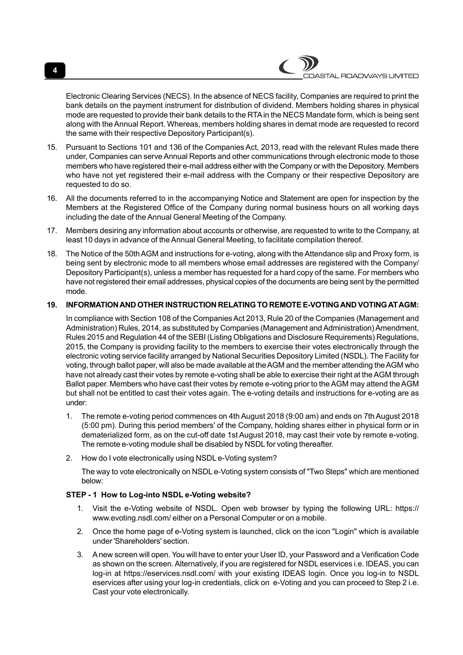

Electronic Clearing Services (NECS). In the absence of NECS facility, Companies are required to print the bank details on the payment instrument for distribution of dividend. Members holding shares in physical mode are requested to provide their bank details to the RTA in the NECS Mandate form, which is being sent along with the Annual Report. Whereas, members holding shares in demat mode are requested to record the same with their respective Depository Participant(s).

- 15. Pursuant to Sections 101 and 136 of the Companies Act, 2013, read with the relevant Rules made there under, Companies can serve Annual Reports and other communications through electronic mode to those members who have registered their e-mail address either with the Company or with the Depository. Members who have not yet registered their e-mail address with the Company or their respective Depository are requested to do so.
- 16. All the documents referred to in the accompanying Notice and Statement are open for inspection by the Members at the Registered Office of the Company during normal business hours on all working days including the date of the Annual General Meeting of the Company.
- 17. Members desiring any information about accounts or otherwise, are requested to write to the Company, at least 10 days in advance of the Annual General Meeting, to facilitate compilation thereof.
- 18. The Notice of the 50th AGM and instructions for e-voting, along with the Attendance slip and Proxy form, is being sent by electronic mode to all members whose email addresses are registered with the Company/ Depository Participant(s), unless a member has requested for a hard copy of the same. For members who have not registered their email addresses, physical copies of the documents are being sent by the permitted mode.

### **19. INFORMATION AND OTHER INSTRUCTION RELATING TO REMOTE E-VOTING AND VOTING AT AGM:**

In compliance with Section 108 of the Companies Act 2013, Rule 20 of the Companies (Management and Administration) Rules, 2014, as substituted by Companies (Management and Administration) Amendment, Rules 2015 and Regulation 44 of the SEBI (Listing Obligations and Disclosure Requirements) Regulations, 2015, the Company is providing facility to the members to exercise their votes electronically through the electronic voting service facility arranged by National Securities Depository Limited (NSDL). The Facility for voting, through ballot paper, will also be made available at the AGM and the member attending the AGM who have not already cast their votes by remote e-voting shall be able to exercise their right at the AGM through Ballot paper. Members who have cast their votes by remote e-voting prior to the AGM may attend the AGM but shall not be entitled to cast their votes again. The e-voting details and instructions for e-voting are as under:

- 1. The remote e-voting period commences on 4th August 2018 (9:00 am) and ends on 7th August 2018 (5:00 pm). During this period members' of the Company, holding shares either in physical form or in dematerialized form, as on the cut-off date 1st August 2018, may cast their vote by remote e-voting. The remote e-voting module shall be disabled by NSDL for voting thereafter.
- 2. How do I vote electronically using NSDL e-Voting system?

The way to vote electronically on NSDL e-Voting system consists of "Two Steps" which are mentioned below:

### **STEP - 1 How to Log-into NSDL e-Voting website?**

- 1. Visit the e-Voting website of NSDL. Open web browser by typing the following URL: https:// www.evoting.nsdl.com/ either on a Personal Computer or on a mobile.
- 2. Once the home page of e-Voting system is launched, click on the icon "Login" which is available under 'Shareholders' section.
- 3. A new screen will open. You will have to enter your User ID, your Password and a Verification Code as shown on the screen. Alternatively, if you are registered for NSDL eservices i.e. IDEAS, you can log-in at https://eservices.nsdl.com/ with your existing IDEAS login. Once you log-in to NSDL eservices after using your log-in credentials, click on e-Voting and you can proceed to Step 2 i.e. Cast your vote electronically.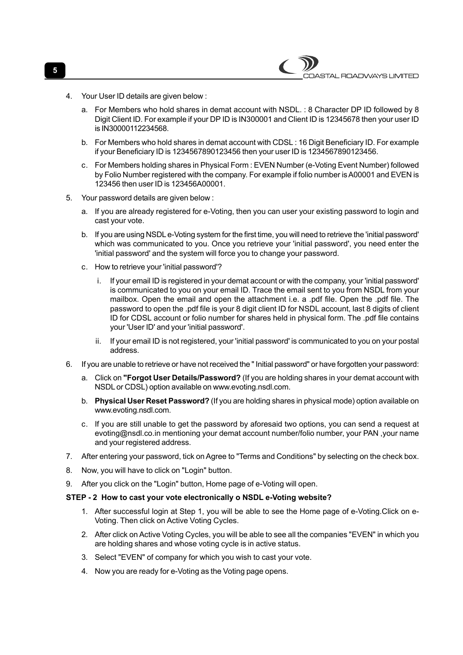- 4. Your User ID details are given below :
	- a. For Members who hold shares in demat account with NSDL. : 8 Character DP ID followed by 8 Digit Client ID. For example if your DP ID is IN300001 and Client ID is 12345678 then your user ID is IN30000112234568.

ASTAL ROADWAYS LIMITED

- b. For Members who hold shares in demat account with CDSL : 16 Digit Beneficiary ID. For example if your Beneficiary ID is 1234567890123456 then your user ID is 1234567890123456.
- c. For Members holding shares in Physical Form : EVEN Number (e-Voting Event Number) followed by Folio Number registered with the company. For example if folio number is A00001 and EVEN is 123456 then user ID is 123456A00001.
- 5. Your password details are given below :
	- a. If you are already registered for e-Voting, then you can user your existing password to login and cast your vote.
	- b. If you are using NSDL e-Voting system for the first time, you will need to retrieve the 'initial password' which was communicated to you. Once you retrieve your 'initial password', you need enter the 'initial password' and the system will force you to change your password.
	- c. How to retrieve your 'initial password'?
		- i. If your email ID is registered in your demat account or with the company, your 'initial password' is communicated to you on your email ID. Trace the email sent to you from NSDL from your mailbox. Open the email and open the attachment i.e. a .pdf file. Open the .pdf file. The password to open the .pdf file is your 8 digit client ID for NSDL account, last 8 digits of client ID for CDSL account or folio number for shares held in physical form. The .pdf file contains your 'User ID' and your 'initial password'.
		- ii. If your email ID is not registered, your 'initial password' is communicated to you on your postal address.
- 6. If you are unable to retrieve or have not received the " Initial password" or have forgotten your password:
	- a. Click on **"Forgot User Details/Password?** (If you are holding shares in your demat account with NSDL or CDSL) option available on www.evoting.nsdl.com.
	- b. **Physical User Reset Password?** (If you are holding shares in physical mode) option available on www.evoting.nsdl.com.
	- c. If you are still unable to get the password by aforesaid two options, you can send a request at evoting@nsdl.co.in mentioning your demat account number/folio number, your PAN ,your name and your registered address.
- 7. After entering your password, tick on Agree to "Terms and Conditions" by selecting on the check box.
- 8. Now, you will have to click on "Login" button.
- 9. After you click on the "Login" button, Home page of e-Voting will open.

#### **STEP - 2 How to cast your vote electronically o NSDL e-Voting website?**

- 1. After successful login at Step 1, you will be able to see the Home page of e-Voting.Click on e-Voting. Then click on Active Voting Cycles.
- 2. After click on Active Voting Cycles, you will be able to see all the companies "EVEN" in which you are holding shares and whose voting cycle is in active status.
- 3. Select "EVEN" of company for which you wish to cast your vote.
- 4. Now you are ready for e-Voting as the Voting page opens.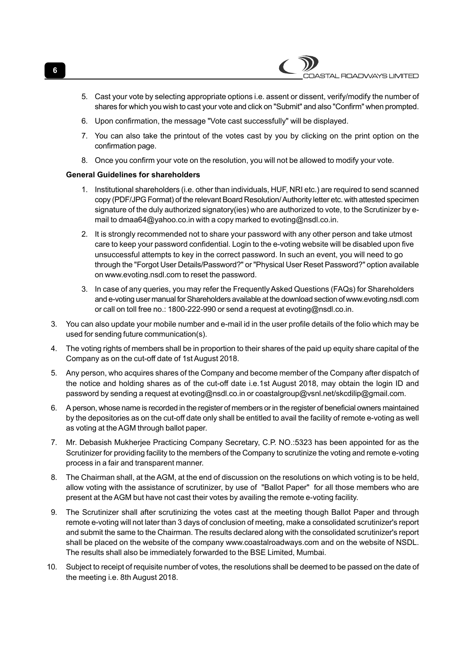- 5. Cast your vote by selecting appropriate options i.e. assent or dissent, verify/modify the number of shares for which you wish to cast your vote and click on "Submit" and also "Confirm" when prompted.
- 6. Upon confirmation, the message "Vote cast successfully" will be displayed.
- 7. You can also take the printout of the votes cast by you by clicking on the print option on the confirmation page.
- 8. Once you confirm your vote on the resolution, you will not be allowed to modify your vote.

# **General Guidelines for shareholders**

- 1. Institutional shareholders (i.e. other than individuals, HUF, NRI etc.) are required to send scanned copy (PDF/JPG Format) of the relevant Board Resolution/ Authority letter etc. with attested specimen signature of the duly authorized signatory(ies) who are authorized to vote, to the Scrutinizer by email to dmaa64@yahoo.co.in with a copy marked to evoting@nsdl.co.in.
- 2. It is strongly recommended not to share your password with any other person and take utmost care to keep your password confidential. Login to the e-voting website will be disabled upon five unsuccessful attempts to key in the correct password. In such an event, you will need to go through the "Forgot User Details/Password?" or "Physical User Reset Password?" option available on www.evoting.nsdl.com to reset the password.
- 3. In case of any queries, you may refer the Frequently Asked Questions (FAQs) for Shareholders and e-voting user manual for Shareholders available at the download section of www.evoting.nsdl.com or call on toll free no.: 1800-222-990 or send a request at evoting@nsdl.co.in.
- 3. You can also update your mobile number and e-mail id in the user profile details of the folio which may be used for sending future communication(s).
- 4. The voting rights of members shall be in proportion to their shares of the paid up equity share capital of the Company as on the cut-off date of 1st August 2018.
- 5. Any person, who acquires shares of the Company and become member of the Company after dispatch of the notice and holding shares as of the cut-off date i.e.1st August 2018, may obtain the login ID and password by sending a request at evoting@nsdl.co.in or coastalgroup@vsnl.net/skcdilip@gmail.com.
- 6. A person, whose name is recorded in the register of members or in the register of beneficial owners maintained by the depositories as on the cut-off date only shall be entitled to avail the facility of remote e-voting as well as voting at the AGM through ballot paper.
- 7. Mr. Debasish Mukherjee Practicing Company Secretary, C.P. NO.:5323 has been appointed for as the Scrutinizer for providing facility to the members of the Company to scrutinize the voting and remote e-voting process in a fair and transparent manner.
- 8. The Chairman shall, at the AGM, at the end of discussion on the resolutions on which voting is to be held, allow voting with the assistance of scrutinizer, by use of "Ballot Paper" for all those members who are present at the AGM but have not cast their votes by availing the remote e-voting facility.
- 9. The Scrutinizer shall after scrutinizing the votes cast at the meeting though Ballot Paper and through remote e-voting will not later than 3 days of conclusion of meeting, make a consolidated scrutinizer's report and submit the same to the Chairman. The results declared along with the consolidated scrutinizer's report shall be placed on the website of the company www.coastalroadways.com and on the website of NSDL. The results shall also be immediately forwarded to the BSE Limited, Mumbai.
- 10. Subject to receipt of requisite number of votes, the resolutions shall be deemed to be passed on the date of the meeting i.e. 8th August 2018.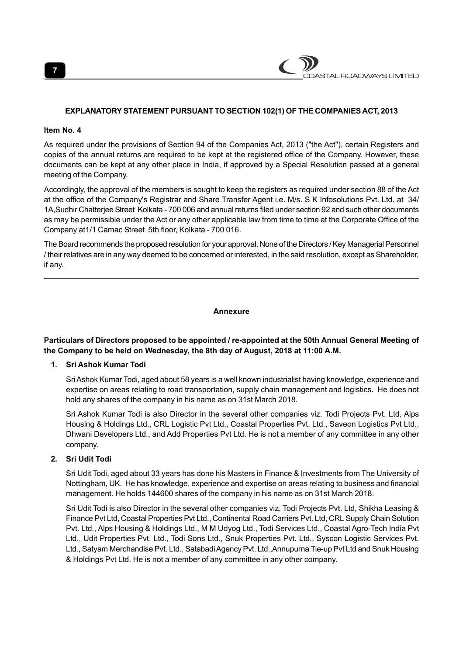

#### **EXPLANATORY STATEMENT PURSUANT TO SECTION 102(1) OF THE COMPANIES ACT, 2013**

#### **Item No. 4**

As required under the provisions of Section 94 of the Companies Act, 2013 ("the Act"), certain Registers and copies of the annual returns are required to be kept at the registered office of the Company. However, these documents can be kept at any other place in India, if approved by a Special Resolution passed at a general meeting of the Company.

Accordingly, the approval of the members is sought to keep the registers as required under section 88 of the Act at the office of the Company's Registrar and Share Transfer Agent i.e. M/s. S K Infosolutions Pvt. Ltd. at 34/ 1A,Sudhir Chatterjee Street Kolkata - 700 006 and annual returns filed under section 92 and such other documents as may be permissible under the Act or any other applicable law from time to time at the Corporate Office of the Company at1/1 Camac Street 5th floor, Kolkata - 700 016.

The Board recommends the proposed resolution for your approval. None of the Directors / Key Managerial Personnel / their relatives are in any way deemed to be concerned or interested, in the said resolution, except as Shareholder, if any.

#### **Annexure**

# **Particulars of Directors proposed to be appointed / re-appointed at the 50th Annual General Meeting of the Company to be held on Wednesday, the 8th day of August, 2018 at 11:00 A.M.**

#### **1. Sri Ashok Kumar Todi**

Sri Ashok Kumar Todi, aged about 58 years is a well known industrialist having knowledge, experience and expertise on areas relating to road transportation, supply chain management and logistics. He does not hold any shares of the company in his name as on 31st March 2018.

Sri Ashok Kumar Todi is also Director in the several other companies viz. Todi Projects Pvt. Ltd, Alps Housing & Holdings Ltd., CRL Logistic Pvt Ltd., Coastal Properties Pvt. Ltd., Saveon Logistics Pvt Ltd., Dhwani Developers Ltd., and Add Properties Pvt Ltd. He is not a member of any committee in any other company.

#### **2. Sri Udit Todi**

Sri Udit Todi, aged about 33 years has done his Masters in Finance & Investments from The University of Nottingham, UK. He has knowledge, experience and expertise on areas relating to business and financial management. He holds 144600 shares of the company in his name as on 31st March 2018.

Sri Udit Todi is also Director in the several other companies viz. Todi Projects Pvt. Ltd, Shikha Leasing & Finance Pvt Ltd, Coastal Properties Pvt Ltd., Continental Road Carriers Pvt. Ltd, CRL Supply Chain Solution Pvt. Ltd., Alps Housing & Holdings Ltd., M M Udyog Ltd., Todi Services Ltd., Coastal Agro-Tech India Pvt Ltd., Udit Properties Pvt. Ltd., Todi Sons Ltd., Snuk Properties Pvt. Ltd., Syscon Logistic Services Pvt. Ltd., Satyam Merchandise Pvt. Ltd., Satabadi Agency Pvt. Ltd.,Annupurna Tie-up Pvt Ltd and Snuk Housing & Holdings Pvt Ltd. He is not a member of any committee in any other company.

**7**